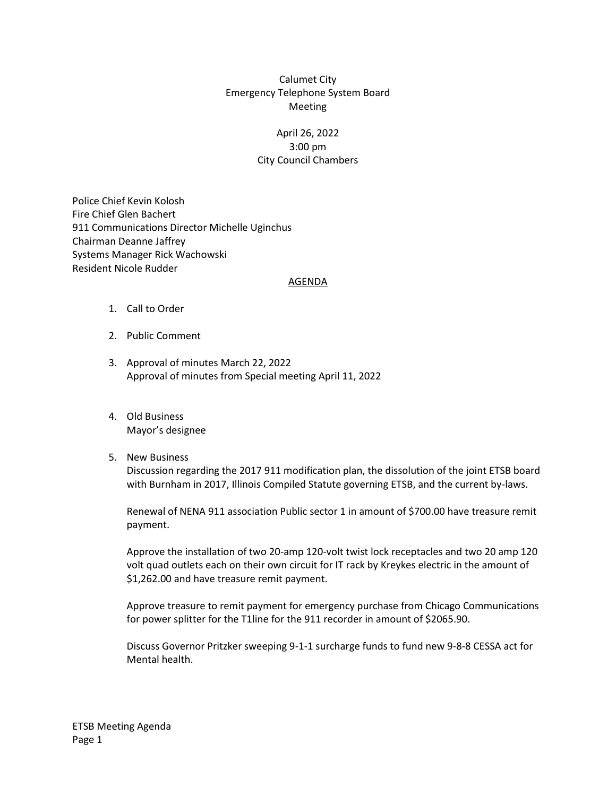## Calumet City Emergency Telephone System Board Meeting

## April 26, 2022 3:00 pm City Council Chambers

Police Chief Kevin Kolosh Fire Chief Glen Bachert 911 Communications Director Michelle Uginchus Chairman Deanne Jaffrey Systems Manager Rick Wachowski Resident Nicole Rudder

## AGENDA

- 1. Call to Order
- 2. Public Comment
- 3. Approval of minutes March 22, 2022 Approval of minutes from Special meeting April 11, 2022
- 4. Old Business Mayor's designee

## 5. New Business

Discussion regarding the 2017 911 modification plan, the dissolution of the joint ETSB board with Burnham in 2017, Illinois Compiled Statute governing ETSB, and the current by-laws.

Renewal of NENA 911 association Public sector 1 in amount of \$700.00 have treasure remit payment.

Approve the installation of two 20-amp 120-volt twist lock receptacles and two 20 amp 120 volt quad outlets each on their own circuit for IT rack by Kreykes electric in the amount of \$1,262.00 and have treasure remit payment.

Approve treasure to remit payment for emergency purchase from Chicago Communications for power splitter for the T1line for the 911 recorder in amount of \$2065.90.

Discuss Governor Pritzker sweeping 9-1-1 surcharge funds to fund new 9-8-8 CESSA act for Mental health.